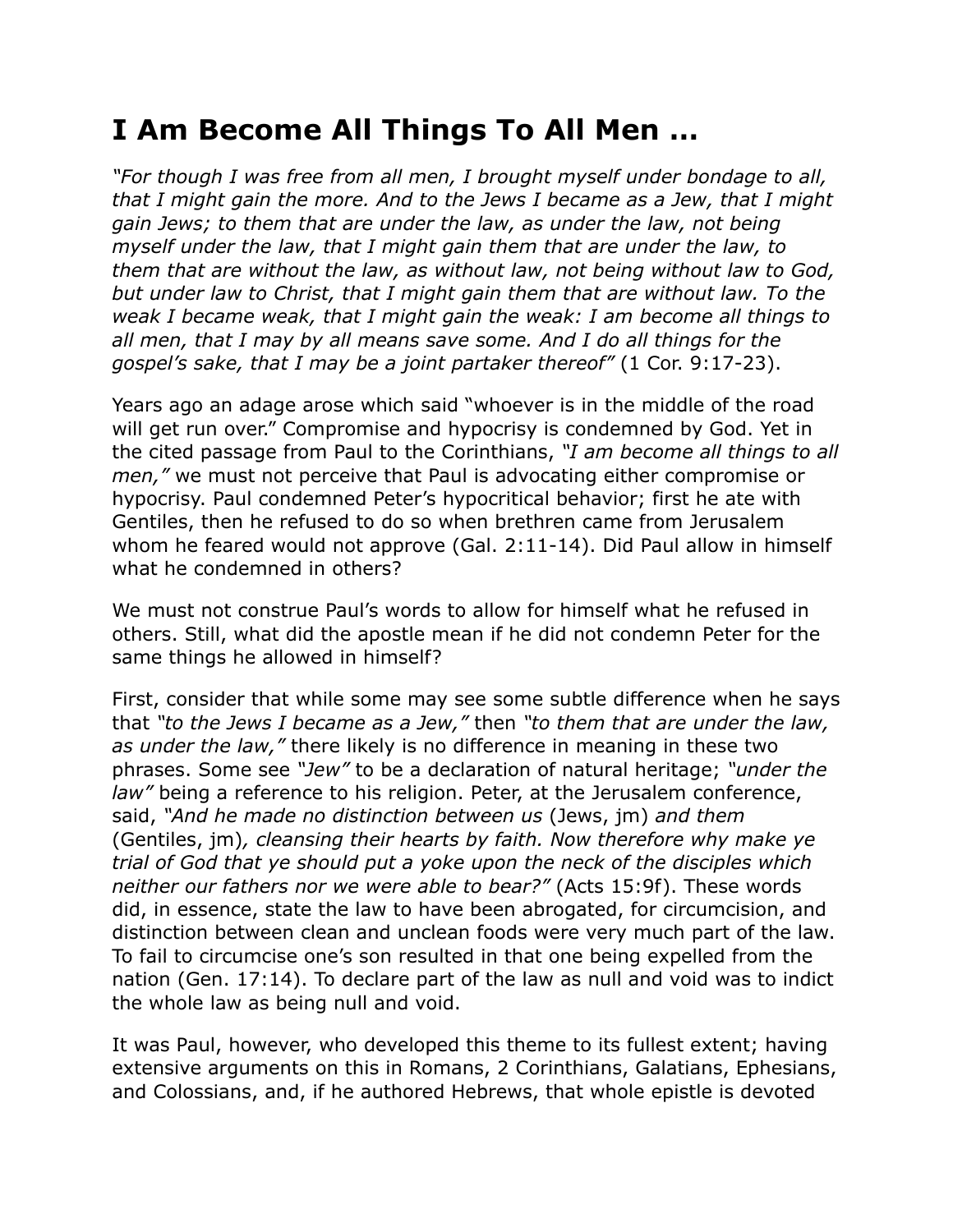## **I Am Become All Things To All Men …**

*"For though I was free from all men, I brought myself under bondage to all, that I might gain the more. And to the Jews I became as a Jew, that I might gain Jews; to them that are under the law, as under the law, not being myself under the law, that I might gain them that are under the law, to them that are without the law, as without law, not being without law to God, but under law to Christ, that I might gain them that are without law. To the weak I became weak, that I might gain the weak: I am become all things to all men, that I may by all means save some. And I do all things for the gospel's sake, that I may be a joint partaker thereof"* (1 Cor. 9:17-23).

Years ago an adage arose which said "whoever is in the middle of the road will get run over." Compromise and hypocrisy is condemned by God. Yet in the cited passage from Paul to the Corinthians, *"I am become all things to all men,"* we must not perceive that Paul is advocating either compromise or hypocrisy. Paul condemned Peter's hypocritical behavior; first he ate with Gentiles, then he refused to do so when brethren came from Jerusalem whom he feared would not approve (Gal. 2:11-14). Did Paul allow in himself what he condemned in others?

We must not construe Paul's words to allow for himself what he refused in others. Still, what did the apostle mean if he did not condemn Peter for the same things he allowed in himself?

First, consider that while some may see some subtle difference when he says that *"to the Jews I became as a Jew,"* then *"to them that are under the law, as under the law,"* there likely is no difference in meaning in these two phrases. Some see *"Jew"* to be a declaration of natural heritage; *"under the law"* being a reference to his religion. Peter, at the Jerusalem conference, said, *"And he made no distinction between us* (Jews, jm) *and them*  (Gentiles, jm)*, cleansing their hearts by faith. Now therefore why make ye trial of God that ye should put a yoke upon the neck of the disciples which neither our fathers nor we were able to bear?"* (Acts 15:9f). These words did, in essence, state the law to have been abrogated, for circumcision, and distinction between clean and unclean foods were very much part of the law. To fail to circumcise one's son resulted in that one being expelled from the nation (Gen. 17:14). To declare part of the law as null and void was to indict the whole law as being null and void.

It was Paul, however, who developed this theme to its fullest extent; having extensive arguments on this in Romans, 2 Corinthians, Galatians, Ephesians, and Colossians, and, if he authored Hebrews, that whole epistle is devoted